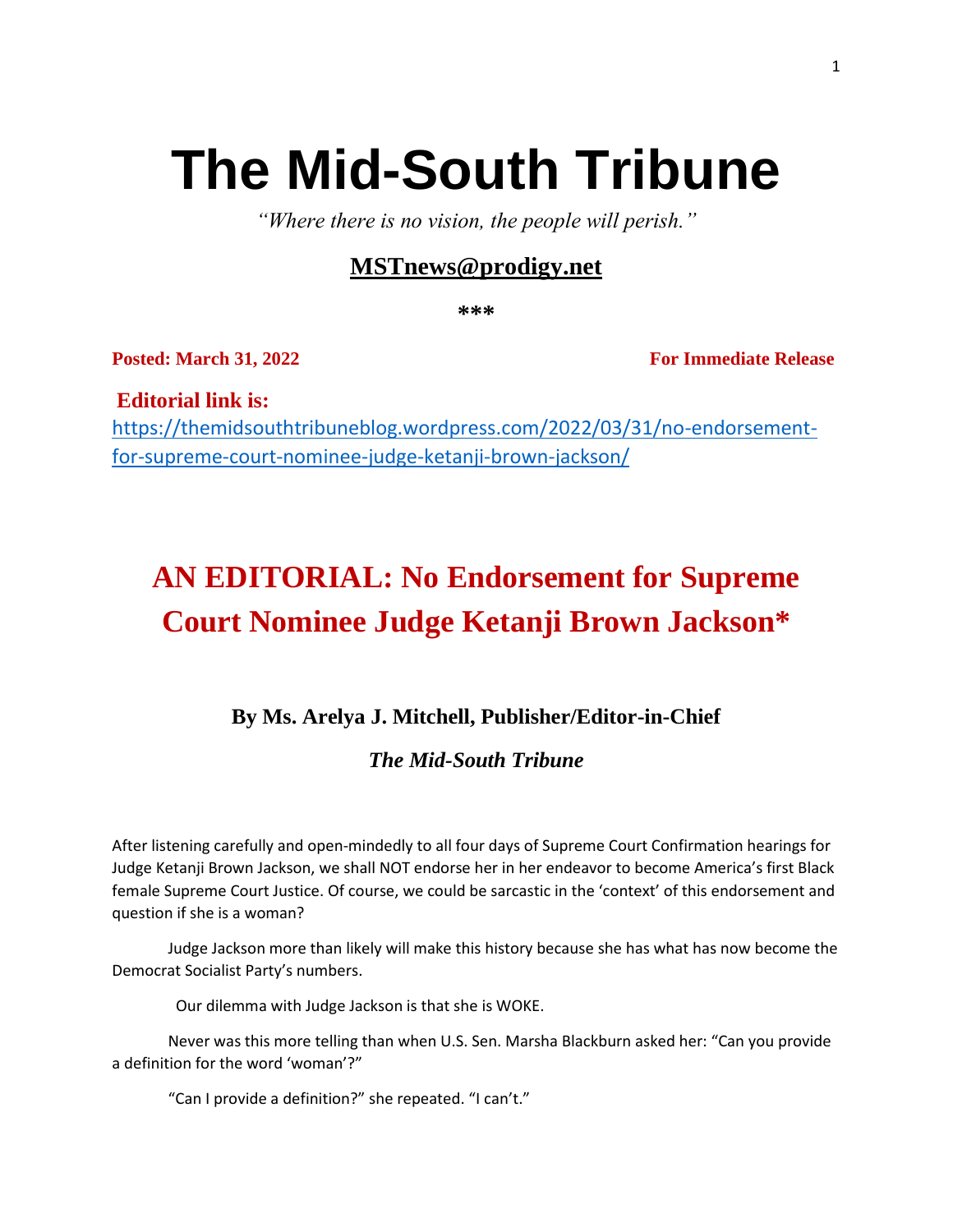# **The Mid-South Tribune**

*"Where there is no vision, the people will perish."*

### **[MSTnews@prodigy.net](mailto:MSTnews@prodigy.net)**

**\*\*\***

**Posted: March 31, 2022 For Immediate Release** 

**Editorial link is:**  [https://themidsouthtribuneblog.wordpress.com/2022/03/31/no-endorsement](https://themidsouthtribuneblog.wordpress.com/2022/03/31/no-endorsement-for-supreme-court-nominee-judge-ketanji-brown-jackson/)[for-supreme-court-nominee-judge-ketanji-brown-jackson/](https://themidsouthtribuneblog.wordpress.com/2022/03/31/no-endorsement-for-supreme-court-nominee-judge-ketanji-brown-jackson/)

## **AN EDITORIAL: No Endorsement for Supreme Court Nominee Judge Ketanji Brown Jackson\***

### **By Ms. Arelya J. Mitchell, Publisher/Editor-in-Chief**

#### *The Mid-South Tribune*

After listening carefully and open-mindedly to all four days of Supreme Court Confirmation hearings for Judge Ketanji Brown Jackson, we shall NOT endorse her in her endeavor to become America's first Black female Supreme Court Justice. Of course, we could be sarcastic in the 'context' of this endorsement and question if she is a woman?

Judge Jackson more than likely will make this history because she has what has now become the Democrat Socialist Party's numbers.

Our dilemma with Judge Jackson is that she is WOKE.

Never was this more telling than when U.S. Sen. Marsha Blackburn asked her: "Can you provide a definition for the word 'woman'?"

"Can I provide a definition?" she repeated. "I can't."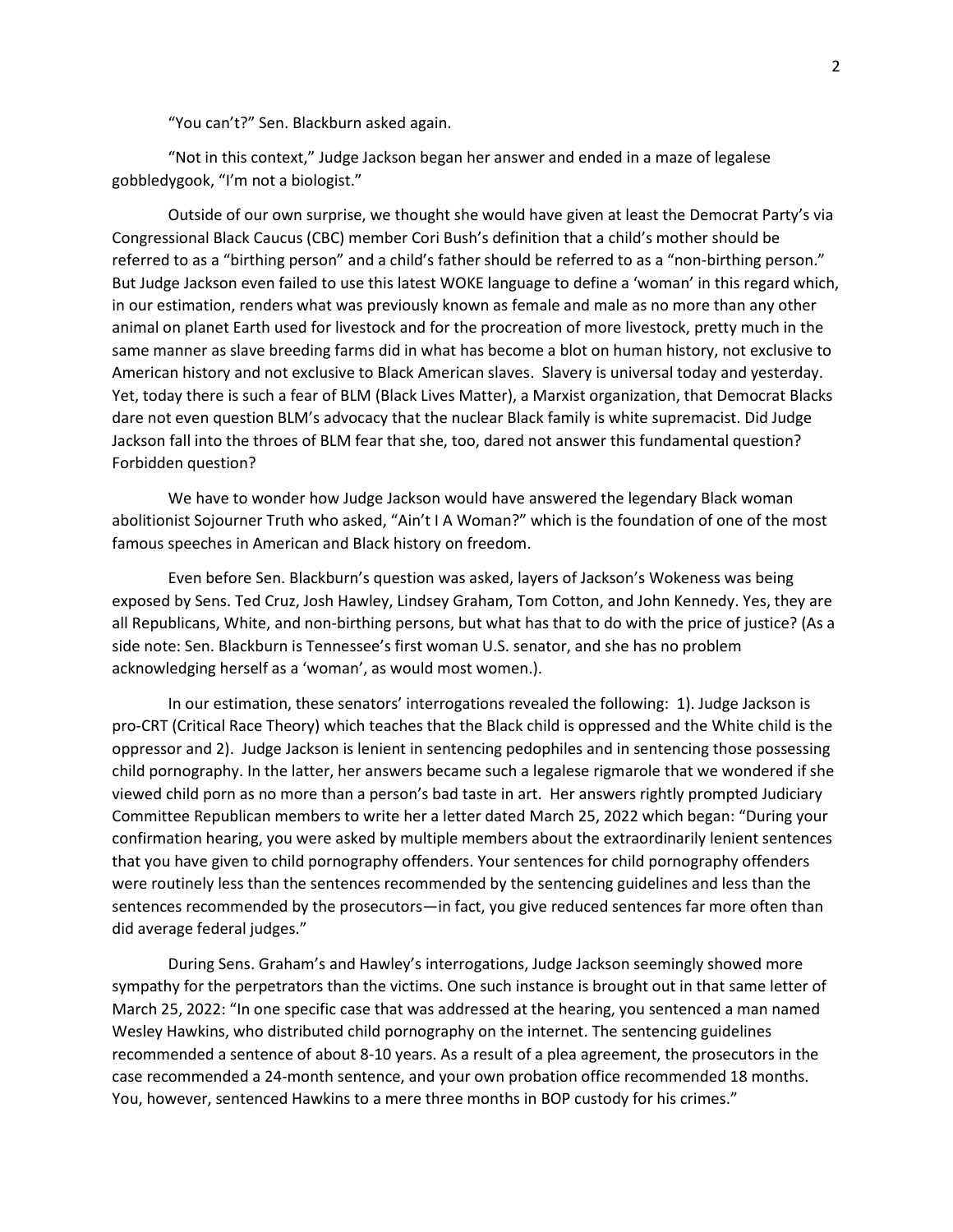"You can't?" Sen. Blackburn asked again.

"Not in this context," Judge Jackson began her answer and ended in a maze of legalese gobbledygook, "I'm not a biologist."

Outside of our own surprise, we thought she would have given at least the Democrat Party's via Congressional Black Caucus (CBC) member Cori Bush's definition that a child's mother should be referred to as a "birthing person" and a child's father should be referred to as a "non-birthing person." But Judge Jackson even failed to use this latest WOKE language to define a 'woman' in this regard which, in our estimation, renders what was previously known as female and male as no more than any other animal on planet Earth used for livestock and for the procreation of more livestock, pretty much in the same manner as slave breeding farms did in what has become a blot on human history, not exclusive to American history and not exclusive to Black American slaves. Slavery is universal today and yesterday. Yet, today there is such a fear of BLM (Black Lives Matter), a Marxist organization, that Democrat Blacks dare not even question BLM's advocacy that the nuclear Black family is white supremacist. Did Judge Jackson fall into the throes of BLM fear that she, too, dared not answer this fundamental question? Forbidden question?

We have to wonder how Judge Jackson would have answered the legendary Black woman abolitionist Sojourner Truth who asked, "Ain't I A Woman?" which is the foundation of one of the most famous speeches in American and Black history on freedom.

Even before Sen. Blackburn's question was asked, layers of Jackson's Wokeness was being exposed by Sens. Ted Cruz, Josh Hawley, Lindsey Graham, Tom Cotton, and John Kennedy. Yes, they are all Republicans, White, and non-birthing persons, but what has that to do with the price of justice? (As a side note: Sen. Blackburn is Tennessee's first woman U.S. senator, and she has no problem acknowledging herself as a 'woman', as would most women.).

In our estimation, these senators' interrogations revealed the following: 1). Judge Jackson is pro-CRT (Critical Race Theory) which teaches that the Black child is oppressed and the White child is the oppressor and 2). Judge Jackson is lenient in sentencing pedophiles and in sentencing those possessing child pornography. In the latter, her answers became such a legalese rigmarole that we wondered if she viewed child porn as no more than a person's bad taste in art. Her answers rightly prompted Judiciary Committee Republican members to write her a letter dated March 25, 2022 which began: "During your confirmation hearing, you were asked by multiple members about the extraordinarily lenient sentences that you have given to child pornography offenders. Your sentences for child pornography offenders were routinely less than the sentences recommended by the sentencing guidelines and less than the sentences recommended by the prosecutors—in fact, you give reduced sentences far more often than did average federal judges."

During Sens. Graham's and Hawley's interrogations, Judge Jackson seemingly showed more sympathy for the perpetrators than the victims. One such instance is brought out in that same letter of March 25, 2022: "In one specific case that was addressed at the hearing, you sentenced a man named Wesley Hawkins, who distributed child pornography on the internet. The sentencing guidelines recommended a sentence of about 8-10 years. As a result of a plea agreement, the prosecutors in the case recommended a 24-month sentence, and your own probation office recommended 18 months. You, however, sentenced Hawkins to a mere three months in BOP custody for his crimes."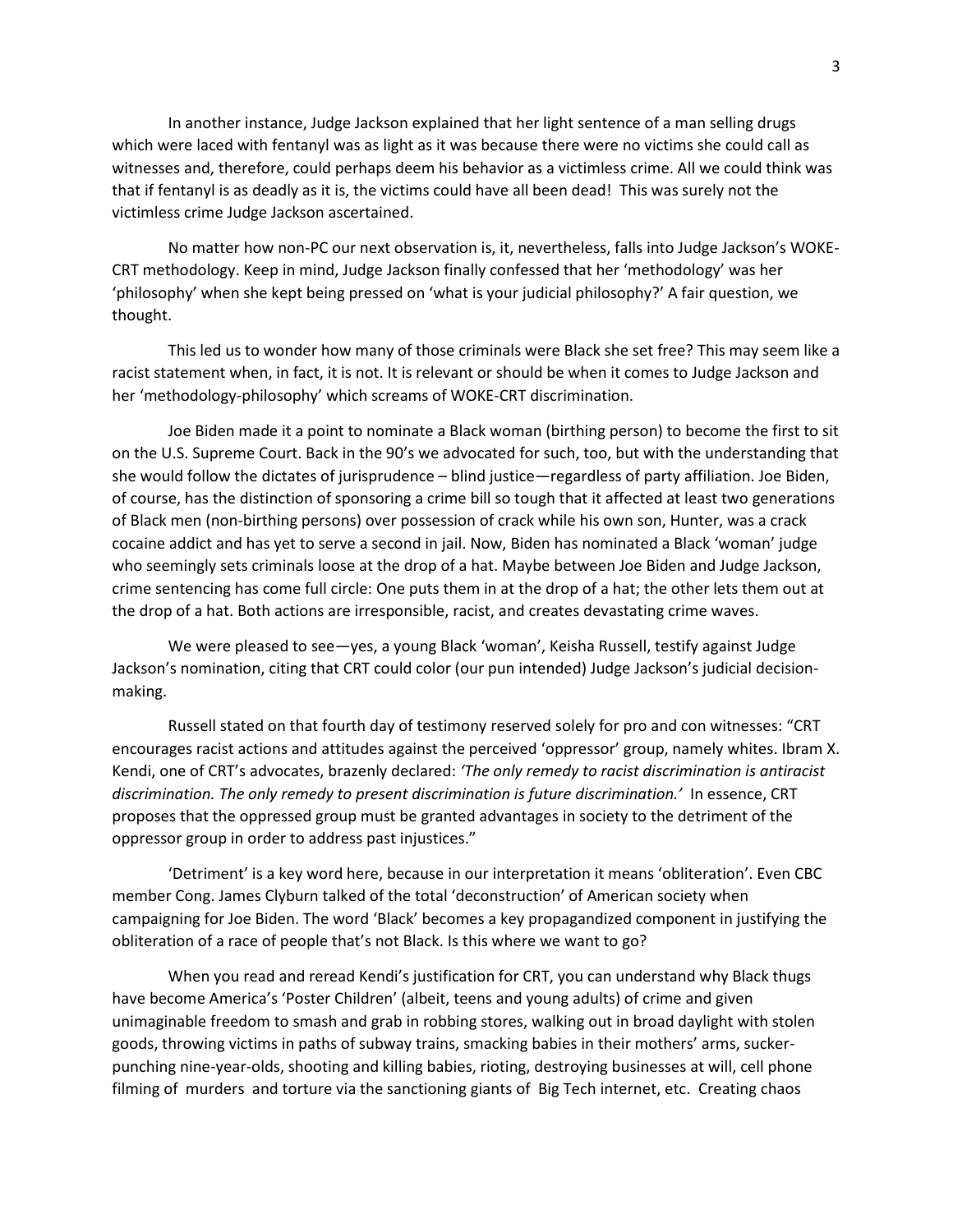In another instance, Judge Jackson explained that her light sentence of a man selling drugs which were laced with fentanyl was as light as it was because there were no victims she could call as witnesses and, therefore, could perhaps deem his behavior as a victimless crime. All we could think was that if fentanyl is as deadly as it is, the victims could have all been dead! This was surely not the victimless crime Judge Jackson ascertained.

No matter how non-PC our next observation is, it, nevertheless, falls into Judge Jackson's WOKE-CRT methodology. Keep in mind, Judge Jackson finally confessed that her 'methodology' was her 'philosophy' when she kept being pressed on 'what is your judicial philosophy?' A fair question, we thought.

This led us to wonder how many of those criminals were Black she set free? This may seem like a racist statement when, in fact, it is not. It is relevant or should be when it comes to Judge Jackson and her 'methodology-philosophy' which screams of WOKE-CRT discrimination.

Joe Biden made it a point to nominate a Black woman (birthing person) to become the first to sit on the U.S. Supreme Court. Back in the 90's we advocated for such, too, but with the understanding that she would follow the dictates of jurisprudence – blind justice—regardless of party affiliation. Joe Biden, of course, has the distinction of sponsoring a crime bill so tough that it affected at least two generations of Black men (non-birthing persons) over possession of crack while his own son, Hunter, was a crack cocaine addict and has yet to serve a second in jail. Now, Biden has nominated a Black 'woman' judge who seemingly sets criminals loose at the drop of a hat. Maybe between Joe Biden and Judge Jackson, crime sentencing has come full circle: One puts them in at the drop of a hat; the other lets them out at the drop of a hat. Both actions are irresponsible, racist, and creates devastating crime waves.

We were pleased to see—yes, a young Black 'woman', Keisha Russell, testify against Judge Jackson's nomination, citing that CRT could color (our pun intended) Judge Jackson's judicial decisionmaking.

Russell stated on that fourth day of testimony reserved solely for pro and con witnesses: "CRT encourages racist actions and attitudes against the perceived 'oppressor' group, namely whites. Ibram X. Kendi, one of CRT's advocates, brazenly declared: *'The only remedy to racist discrimination is antiracist discrimination. The only remedy to present discrimination is future discrimination.'* In essence, CRT proposes that the oppressed group must be granted advantages in society to the detriment of the oppressor group in order to address past injustices."

'Detriment' is a key word here, because in our interpretation it means 'obliteration'. Even CBC member Cong. James Clyburn talked of the total 'deconstruction' of American society when campaigning for Joe Biden. The word 'Black' becomes a key propagandized component in justifying the obliteration of a race of people that's not Black. Is this where we want to go?

When you read and reread Kendi's justification for CRT, you can understand why Black thugs have become America's 'Poster Children' (albeit, teens and young adults) of crime and given unimaginable freedom to smash and grab in robbing stores, walking out in broad daylight with stolen goods, throwing victims in paths of subway trains, smacking babies in their mothers' arms, suckerpunching nine-year-olds, shooting and killing babies, rioting, destroying businesses at will, cell phone filming of murders and torture via the sanctioning giants of Big Tech internet, etc. Creating chaos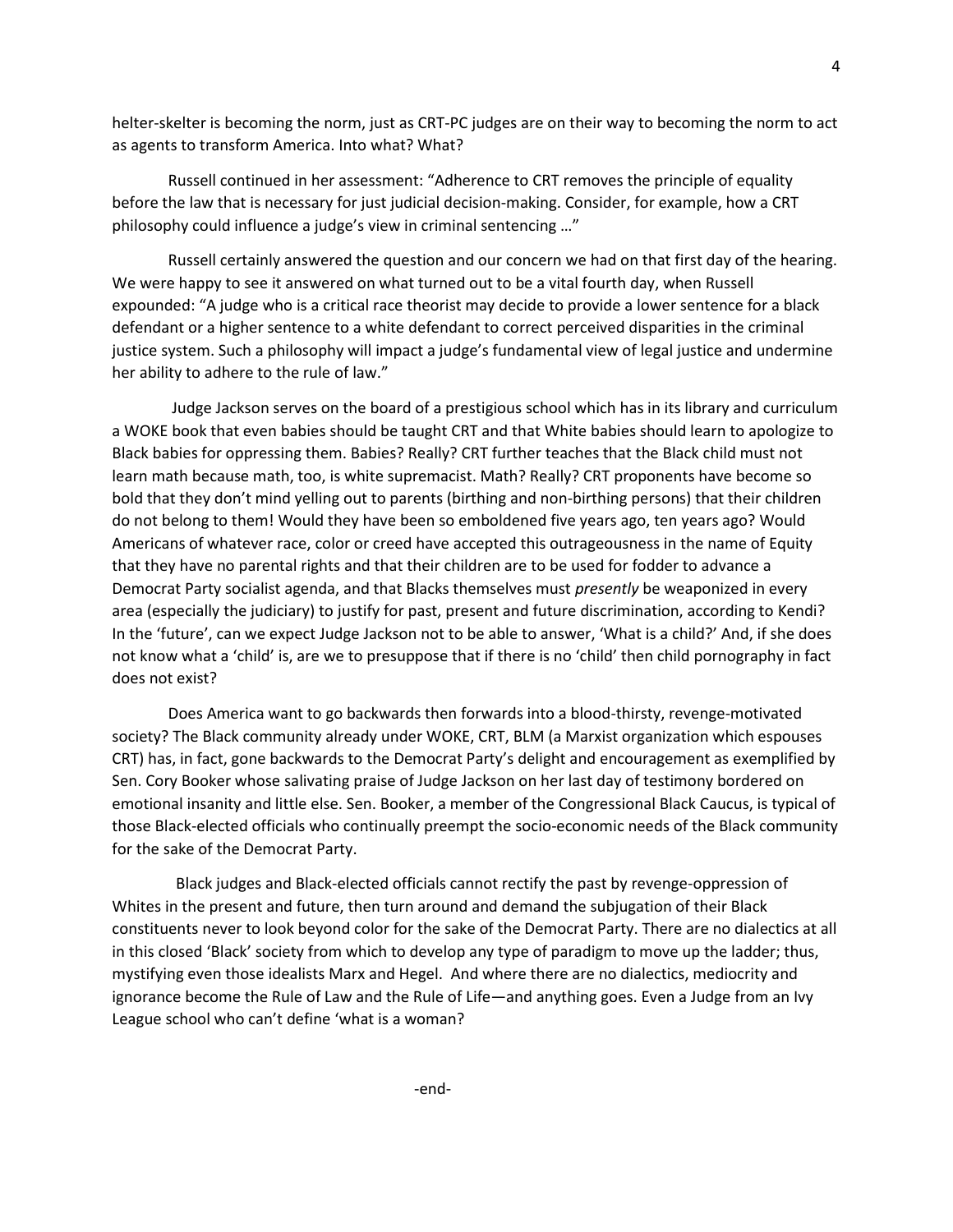helter-skelter is becoming the norm, just as CRT-PC judges are on their way to becoming the norm to act as agents to transform America. Into what? What?

Russell continued in her assessment: "Adherence to CRT removes the principle of equality before the law that is necessary for just judicial decision-making. Consider, for example, how a CRT philosophy could influence a judge's view in criminal sentencing …"

Russell certainly answered the question and our concern we had on that first day of the hearing. We were happy to see it answered on what turned out to be a vital fourth day, when Russell expounded: "A judge who is a critical race theorist may decide to provide a lower sentence for a black defendant or a higher sentence to a white defendant to correct perceived disparities in the criminal justice system. Such a philosophy will impact a judge's fundamental view of legal justice and undermine her ability to adhere to the rule of law."

Judge Jackson serves on the board of a prestigious school which has in its library and curriculum a WOKE book that even babies should be taught CRT and that White babies should learn to apologize to Black babies for oppressing them. Babies? Really? CRT further teaches that the Black child must not learn math because math, too, is white supremacist. Math? Really? CRT proponents have become so bold that they don't mind yelling out to parents (birthing and non-birthing persons) that their children do not belong to them! Would they have been so emboldened five years ago, ten years ago? Would Americans of whatever race, color or creed have accepted this outrageousness in the name of Equity that they have no parental rights and that their children are to be used for fodder to advance a Democrat Party socialist agenda, and that Blacks themselves must *presently* be weaponized in every area (especially the judiciary) to justify for past, present and future discrimination, according to Kendi? In the 'future', can we expect Judge Jackson not to be able to answer, 'What is a child?' And, if she does not know what a 'child' is, are we to presuppose that if there is no 'child' then child pornography in fact does not exist?

Does America want to go backwards then forwards into a blood-thirsty, revenge-motivated society? The Black community already under WOKE, CRT, BLM (a Marxist organization which espouses CRT) has, in fact, gone backwards to the Democrat Party's delight and encouragement as exemplified by Sen. Cory Booker whose salivating praise of Judge Jackson on her last day of testimony bordered on emotional insanity and little else. Sen. Booker, a member of the Congressional Black Caucus, is typical of those Black-elected officials who continually preempt the socio-economic needs of the Black community for the sake of the Democrat Party.

 Black judges and Black-elected officials cannot rectify the past by revenge-oppression of Whites in the present and future, then turn around and demand the subjugation of their Black constituents never to look beyond color for the sake of the Democrat Party. There are no dialectics at all in this closed 'Black' society from which to develop any type of paradigm to move up the ladder; thus, mystifying even those idealists Marx and Hegel. And where there are no dialectics, mediocrity and ignorance become the Rule of Law and the Rule of Life—and anything goes. Even a Judge from an Ivy League school who can't define 'what is a woman?